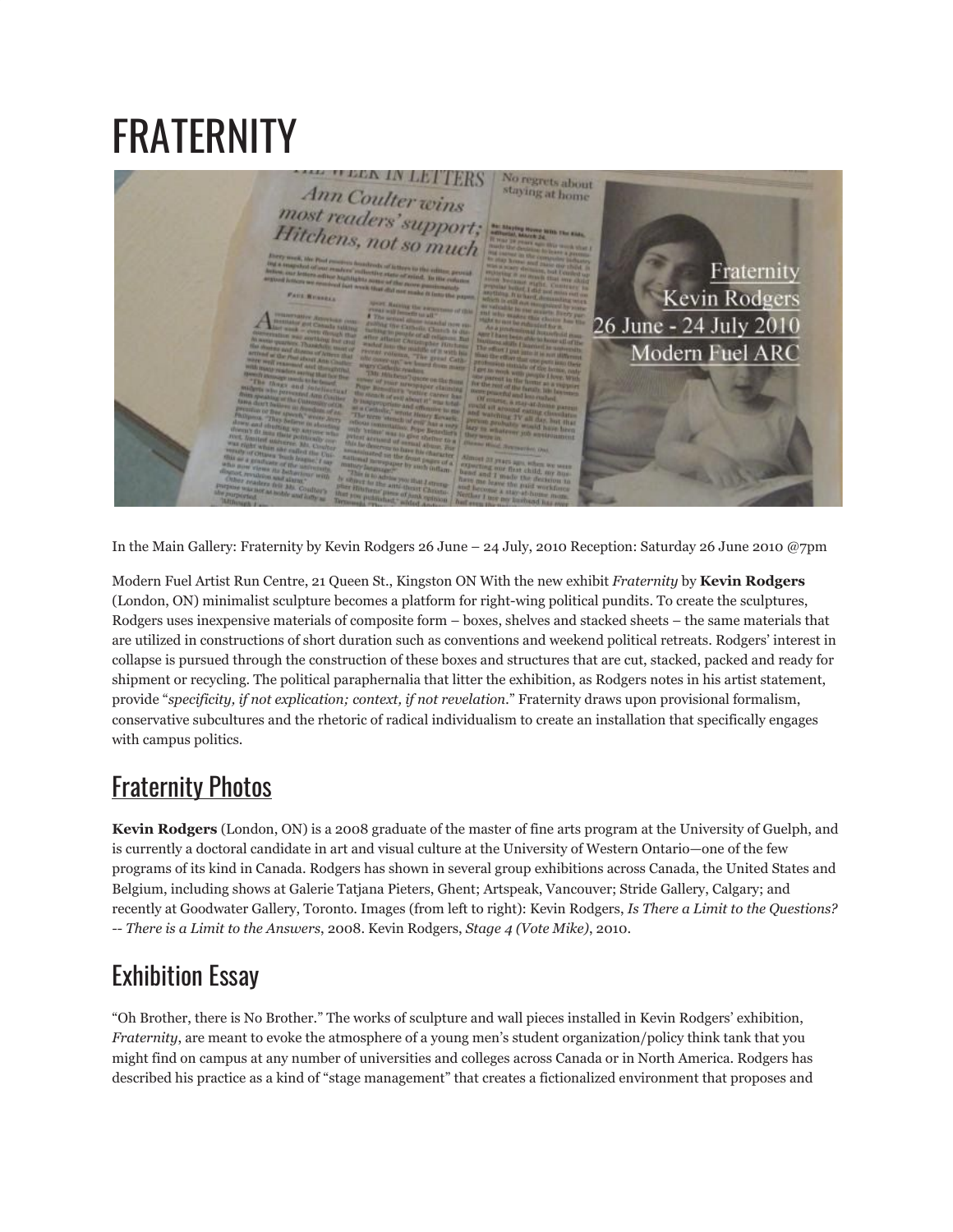## FRATERNITY



In the Main Gallery: Fraternity by Kevin Rodgers 26 June – 24 July, 2010 Reception: Saturday 26 June 2010 @7pm

Modern Fuel Artist Run Centre, 21 Queen St., Kingston ON With the new exhibit *Fraternity* by **Kevin Rodgers** (London, ON) minimalist sculpture becomes a platform for right-wing political pundits. To create the sculptures, Rodgers uses inexpensive materials of composite form – boxes, shelves and stacked sheets – the same materials that are utilized in constructions of short duration such as conventions and weekend political retreats. Rodgers' interest in collapse is pursued through the construction of these boxes and structures that are cut, stacked, packed and ready for shipment or recycling. The political paraphernalia that litter the exhibition, as Rodgers notes in his artist statement, provide "*specificity, if not explication; context, if not revelation.*" Fraternity draws upon provisional formalism, conservative subcultures and the rhetoric of radical individualism to create an installation that specifically engages with campus politics.

## [Fraternity](http://www.flickr.com/photos/modernfuel/sets/72157625467449698/) Photos

**Kevin Rodgers** (London, ON) is a 2008 graduate of the master of fine arts program at the University of Guelph, and is currently a doctoral candidate in art and visual culture at the University of Western Ontario—one of the few programs of its kind in Canada. Rodgers has shown in several group exhibitions across Canada, the United States and Belgium, including shows at Galerie Tatjana Pieters, Ghent; Artspeak, Vancouver; Stride Gallery, Calgary; and recently at Goodwater Gallery, Toronto. Images (from left to right): Kevin Rodgers, *Is There a Limit to the Questions? -- There is a Limit to the Answers*, 2008. Kevin Rodgers, *Stage 4 (Vote Mike)*, 2010.

## Exhibition Essay

"Oh Brother, there is No Brother." The works of sculpture and wall pieces installed in Kevin Rodgers' exhibition, *Fraternity*, are meant to evoke the atmosphere of a young men's student organization/policy think tank that you might find on campus at any number of universities and colleges across Canada or in North America. Rodgers has described his practice as a kind of "stage management" that creates a fictionalized environment that proposes and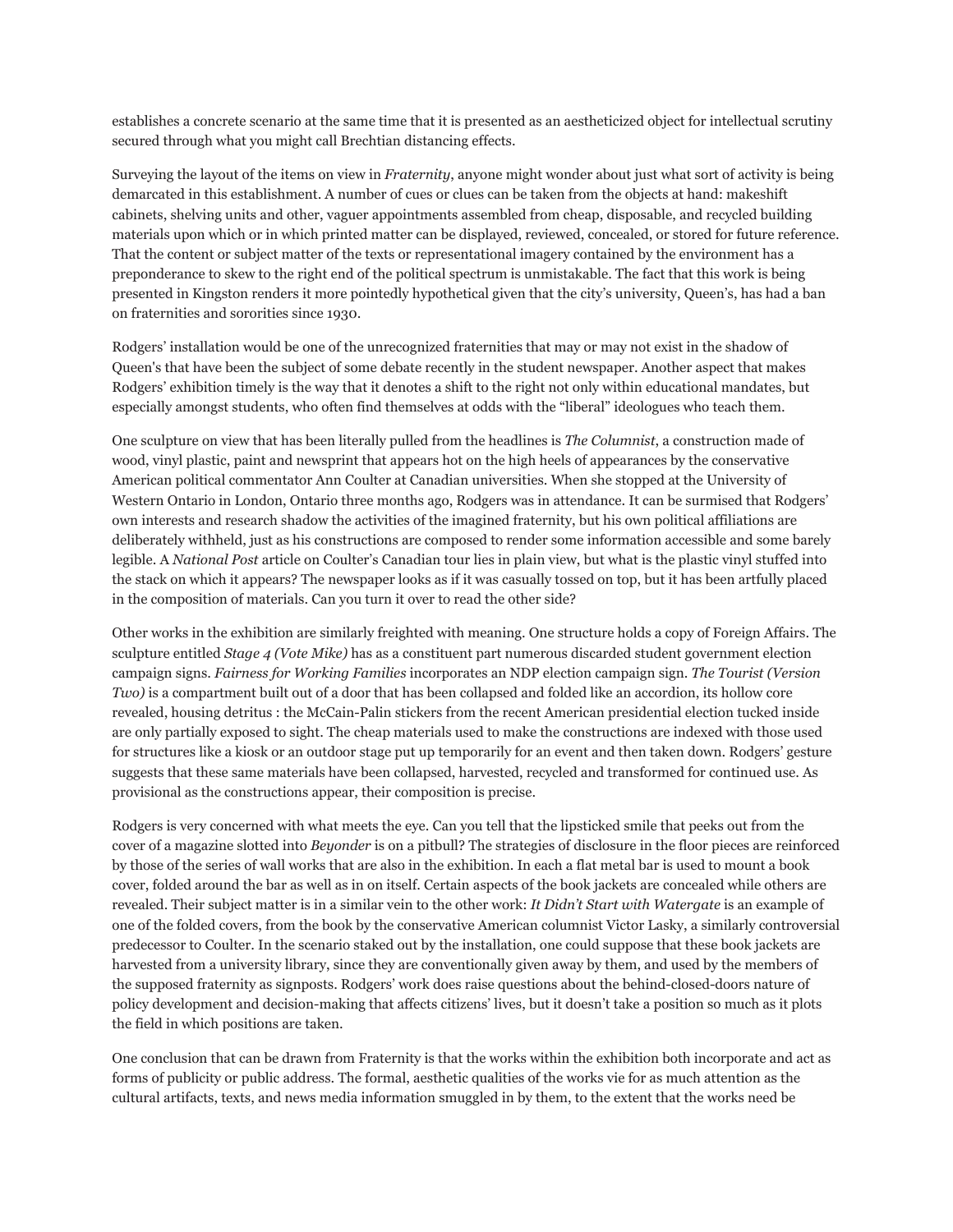establishes a concrete scenario at the same time that it is presented as an aestheticized object for intellectual scrutiny secured through what you might call Brechtian distancing effects.

Surveying the layout of the items on view in *Fraternity*, anyone might wonder about just what sort of activity is being demarcated in this establishment. A number of cues or clues can be taken from the objects at hand: makeshift cabinets, shelving units and other, vaguer appointments assembled from cheap, disposable, and recycled building materials upon which or in which printed matter can be displayed, reviewed, concealed, or stored for future reference. That the content or subject matter of the texts or representational imagery contained by the environment has a preponderance to skew to the right end of the political spectrum is unmistakable. The fact that this work is being presented in Kingston renders it more pointedly hypothetical given that the city's university, Queen's, has had a ban on fraternities and sororities since 1930.

Rodgers' installation would be one of the unrecognized fraternities that may or may not exist in the shadow of Queen's that have been the subject of some debate recently in the student newspaper. Another aspect that makes Rodgers' exhibition timely is the way that it denotes a shift to the right not only within educational mandates, but especially amongst students, who often find themselves at odds with the "liberal" ideologues who teach them.

One sculpture on view that has been literally pulled from the headlines is *The Columnist*, a construction made of wood, vinyl plastic, paint and newsprint that appears hot on the high heels of appearances by the conservative American political commentator Ann Coulter at Canadian universities. When she stopped at the University of Western Ontario in London, Ontario three months ago, Rodgers was in attendance. It can be surmised that Rodgers' own interests and research shadow the activities of the imagined fraternity, but his own political affiliations are deliberately withheld, just as his constructions are composed to render some information accessible and some barely legible. A *National Post* article on Coulter's Canadian tour lies in plain view, but what is the plastic vinyl stuffed into the stack on which it appears? The newspaper looks as if it was casually tossed on top, but it has been artfully placed in the composition of materials. Can you turn it over to read the other side?

Other works in the exhibition are similarly freighted with meaning. One structure holds a copy of Foreign Affairs. The sculpture entitled *Stage 4 (Vote Mike)* has as a constituent part numerous discarded student government election campaign signs. *Fairness for Working Families* incorporates an NDP election campaign sign. *The Tourist (Version Two)* is a compartment built out of a door that has been collapsed and folded like an accordion, its hollow core revealed, housing detritus : the McCain-Palin stickers from the recent American presidential election tucked inside are only partially exposed to sight. The cheap materials used to make the constructions are indexed with those used for structures like a kiosk or an outdoor stage put up temporarily for an event and then taken down. Rodgers' gesture suggests that these same materials have been collapsed, harvested, recycled and transformed for continued use. As provisional as the constructions appear, their composition is precise.

Rodgers is very concerned with what meets the eye. Can you tell that the lipsticked smile that peeks out from the cover of a magazine slotted into *Beyonder* is on a pitbull? The strategies of disclosure in the floor pieces are reinforced by those of the series of wall works that are also in the exhibition. In each a flat metal bar is used to mount a book cover, folded around the bar as well as in on itself. Certain aspects of the book jackets are concealed while others are revealed. Their subject matter is in a similar vein to the other work: *It Didn't Start with Watergate* is an example of one of the folded covers, from the book by the conservative American columnist Victor Lasky, a similarly controversial predecessor to Coulter. In the scenario staked out by the installation, one could suppose that these book jackets are harvested from a university library, since they are conventionally given away by them, and used by the members of the supposed fraternity as signposts. Rodgers' work does raise questions about the behind-closed-doors nature of policy development and decision-making that affects citizens' lives, but it doesn't take a position so much as it plots the field in which positions are taken.

One conclusion that can be drawn from Fraternity is that the works within the exhibition both incorporate and act as forms of publicity or public address. The formal, aesthetic qualities of the works vie for as much attention as the cultural artifacts, texts, and news media information smuggled in by them, to the extent that the works need be